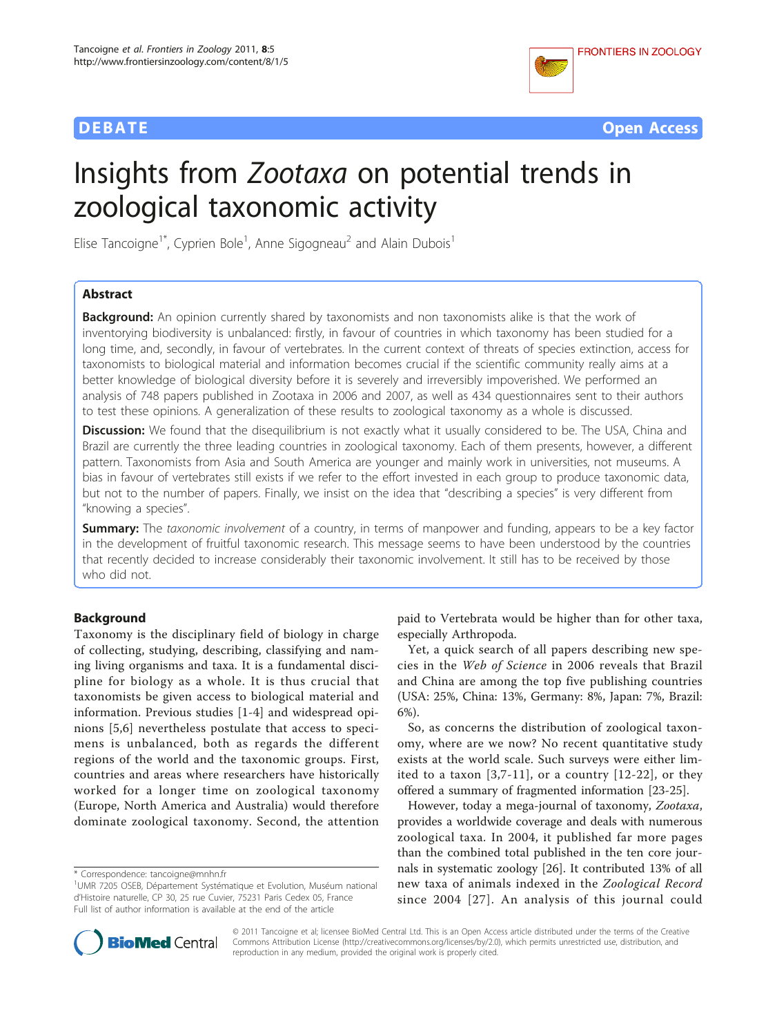



# Insights from Zootaxa on potential trends in zoological taxonomic activity

Elise Tancoigne<sup>1\*</sup>, Cyprien Bole<sup>1</sup>, Anne Sigogneau<sup>2</sup> and Alain Dubois<sup>1</sup>

# Abstract

**Background:** An opinion currently shared by taxonomists and non taxonomists alike is that the work of inventorying biodiversity is unbalanced: firstly, in favour of countries in which taxonomy has been studied for a long time, and, secondly, in favour of vertebrates. In the current context of threats of species extinction, access for taxonomists to biological material and information becomes crucial if the scientific community really aims at a better knowledge of biological diversity before it is severely and irreversibly impoverished. We performed an analysis of 748 papers published in Zootaxa in 2006 and 2007, as well as 434 questionnaires sent to their authors to test these opinions. A generalization of these results to zoological taxonomy as a whole is discussed.

**Discussion:** We found that the disequilibrium is not exactly what it usually considered to be. The USA, China and Brazil are currently the three leading countries in zoological taxonomy. Each of them presents, however, a different pattern. Taxonomists from Asia and South America are younger and mainly work in universities, not museums. A bias in favour of vertebrates still exists if we refer to the effort invested in each group to produce taxonomic data, but not to the number of papers. Finally, we insist on the idea that "describing a species" is very different from "knowing a species".

**Summary:** The taxonomic involvement of a country, in terms of manpower and funding, appears to be a key factor in the development of fruitful taxonomic research. This message seems to have been understood by the countries that recently decided to increase considerably their taxonomic involvement. It still has to be received by those who did not.

# Background

Taxonomy is the disciplinary field of biology in charge of collecting, studying, describing, classifying and naming living organisms and taxa. It is a fundamental discipline for biology as a whole. It is thus crucial that taxonomists be given access to biological material and information. Previous studies [\[1-4](#page-11-0)] and widespread opinions [[5,6](#page-11-0)] nevertheless postulate that access to specimens is unbalanced, both as regards the different regions of the world and the taxonomic groups. First, countries and areas where researchers have historically worked for a longer time on zoological taxonomy (Europe, North America and Australia) would therefore dominate zoological taxonomy. Second, the attention

paid to Vertebrata would be higher than for other taxa, especially Arthropoda.

Yet, a quick search of all papers describing new species in the Web of Science in 2006 reveals that Brazil and China are among the top five publishing countries (USA: 25%, China: 13%, Germany: 8%, Japan: 7%, Brazil: 6%).

So, as concerns the distribution of zoological taxonomy, where are we now? No recent quantitative study exists at the world scale. Such surveys were either limited to a taxon  $[3,7-11]$  $[3,7-11]$  $[3,7-11]$  $[3,7-11]$  $[3,7-11]$ , or a country  $[12-22]$  $[12-22]$  $[12-22]$  $[12-22]$  $[12-22]$ , or they offered a summary of fragmented information [\[23-25](#page-11-0)].

However, today a mega-journal of taxonomy, Zootaxa, provides a worldwide coverage and deals with numerous zoological taxa. In 2004, it published far more pages than the combined total published in the ten core journals in systematic zoology [[26\]](#page-11-0). It contributed 13% of all new taxa of animals indexed in the Zoological Record since 2004 [[27\]](#page-11-0). An analysis of this journal could



© 2011 Tancoigne et al; licensee BioMed Central Ltd. This is an Open Access article distributed under the terms of the Creative Commons Attribution License [\(http://creativecommons.org/licenses/by/2.0](http://creativecommons.org/licenses/by/2.0)), which permits unrestricted use, distribution, and reproduction in any medium, provided the original work is properly cited.

<sup>\*</sup> Correspondence: [tancoigne@mnhn.fr](mailto:tancoigne@mnhn.fr)

<sup>1</sup> UMR 7205 OSEB, Département Systématique et Evolution, Muséum national d'Histoire naturelle, CP 30, 25 rue Cuvier, 75231 Paris Cedex 05, France Full list of author information is available at the end of the article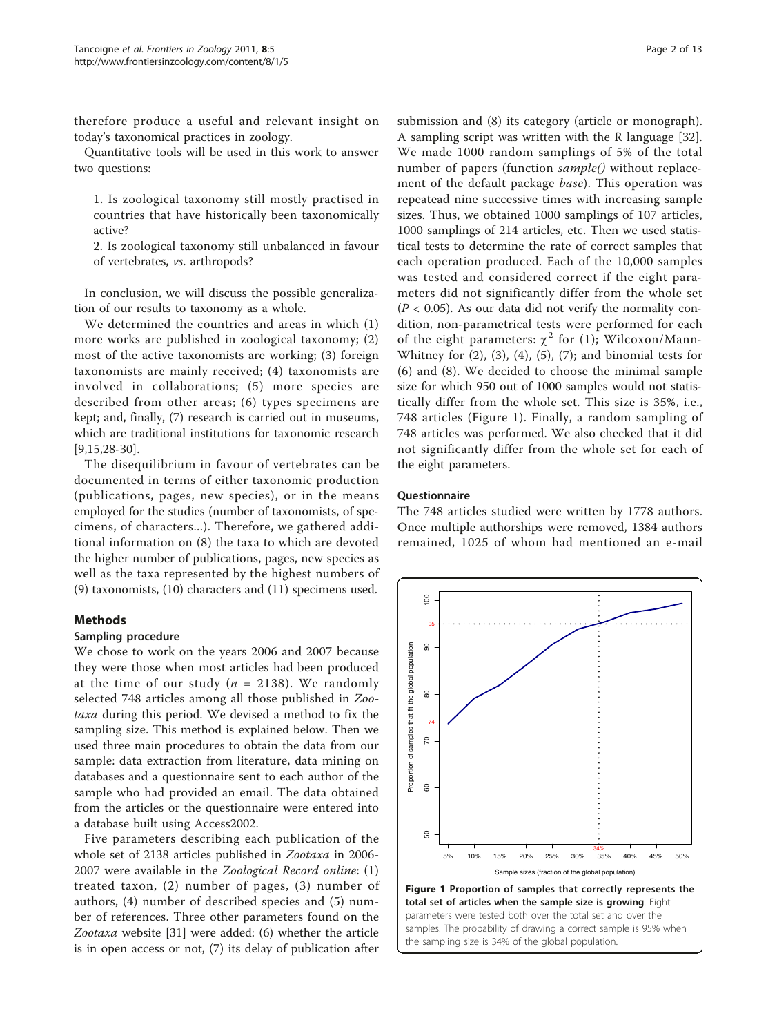therefore produce a useful and relevant insight on today's taxonomical practices in zoology.

Quantitative tools will be used in this work to answer two questions:

1. Is zoological taxonomy still mostly practised in countries that have historically been taxonomically active?

2. Is zoological taxonomy still unbalanced in favour of vertebrates, vs. arthropods?

In conclusion, we will discuss the possible generalization of our results to taxonomy as a whole.

We determined the countries and areas in which (1) more works are published in zoological taxonomy; (2) most of the active taxonomists are working; (3) foreign taxonomists are mainly received; (4) taxonomists are involved in collaborations; (5) more species are described from other areas; (6) types specimens are kept; and, finally, (7) research is carried out in museums, which are traditional institutions for taxonomic research [[9,15,28-30\]](#page-11-0).

The disequilibrium in favour of vertebrates can be documented in terms of either taxonomic production (publications, pages, new species), or in the means employed for the studies (number of taxonomists, of specimens, of characters...). Therefore, we gathered additional information on (8) the taxa to which are devoted the higher number of publications, pages, new species as well as the taxa represented by the highest numbers of (9) taxonomists, (10) characters and (11) specimens used.

#### Methods

#### Sampling procedure

We chose to work on the years 2006 and 2007 because they were those when most articles had been produced at the time of our study ( $n = 2138$ ). We randomly selected 748 articles among all those published in Zootaxa during this period. We devised a method to fix the sampling size. This method is explained below. Then we used three main procedures to obtain the data from our sample: data extraction from literature, data mining on databases and a questionnaire sent to each author of the sample who had provided an email. The data obtained from the articles or the questionnaire were entered into a database built using Access2002.

Five parameters describing each publication of the whole set of 2138 articles published in Zootaxa in 2006-2007 were available in the Zoological Record online: (1) treated taxon, (2) number of pages, (3) number of authors, (4) number of described species and (5) number of references. Three other parameters found on the Zootaxa website [\[31\]](#page-11-0) were added: (6) whether the article is in open access or not, (7) its delay of publication after

submission and (8) its category (article or monograph). A sampling script was written with the R language [\[32](#page-11-0)]. We made 1000 random samplings of 5% of the total number of papers (function sample() without replacement of the default package base). This operation was repeatead nine successive times with increasing sample sizes. Thus, we obtained 1000 samplings of 107 articles, 1000 samplings of 214 articles, etc. Then we used statistical tests to determine the rate of correct samples that each operation produced. Each of the 10,000 samples was tested and considered correct if the eight parameters did not significantly differ from the whole set  $(P < 0.05)$ . As our data did not verify the normality condition, non-parametrical tests were performed for each of the eight parameters:  $\chi^2$  for (1); Wilcoxon/Mann-Whitney for (2), (3), (4), (5), (7); and binomial tests for (6) and (8). We decided to choose the minimal sample size for which 950 out of 1000 samples would not statistically differ from the whole set. This size is 35%, i.e., 748 articles (Figure 1). Finally, a random sampling of 748 articles was performed. We also checked that it did not significantly differ from the whole set for each of the eight parameters.

#### Questionnaire

The 748 articles studied were written by 1778 authors. Once multiple authorships were removed, 1384 authors remained, 1025 of whom had mentioned an e-mail

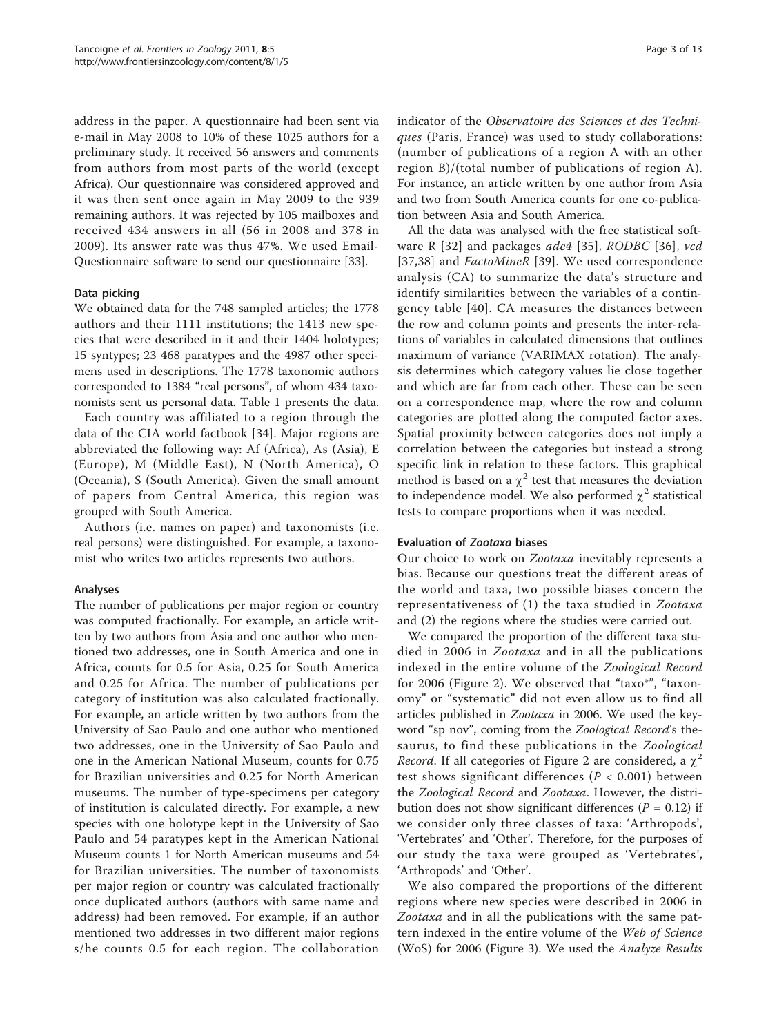address in the paper. A questionnaire had been sent via e-mail in May 2008 to 10% of these 1025 authors for a preliminary study. It received 56 answers and comments from authors from most parts of the world (except Africa). Our questionnaire was considered approved and it was then sent once again in May 2009 to the 939 remaining authors. It was rejected by 105 mailboxes and received 434 answers in all (56 in 2008 and 378 in 2009). Its answer rate was thus 47%. We used Email-Questionnaire software to send our questionnaire [\[33\]](#page-11-0).

#### Data picking

We obtained data for the 748 sampled articles; the 1778 authors and their 1111 institutions; the 1413 new species that were described in it and their 1404 holotypes; 15 syntypes; 23 468 paratypes and the 4987 other specimens used in descriptions. The 1778 taxonomic authors corresponded to 1384 "real persons", of whom 434 taxonomists sent us personal data. Table [1](#page-3-0) presents the data.

Each country was affiliated to a region through the data of the CIA world factbook [\[34](#page-11-0)]. Major regions are abbreviated the following way: Af (Africa), As (Asia), E (Europe), M (Middle East), N (North America), O (Oceania), S (South America). Given the small amount of papers from Central America, this region was grouped with South America.

Authors (i.e. names on paper) and taxonomists (i.e. real persons) were distinguished. For example, a taxonomist who writes two articles represents two authors.

#### Analyses

The number of publications per major region or country was computed fractionally. For example, an article written by two authors from Asia and one author who mentioned two addresses, one in South America and one in Africa, counts for 0.5 for Asia, 0.25 for South America and 0.25 for Africa. The number of publications per category of institution was also calculated fractionally. For example, an article written by two authors from the University of Sao Paulo and one author who mentioned two addresses, one in the University of Sao Paulo and one in the American National Museum, counts for 0.75 for Brazilian universities and 0.25 for North American museums. The number of type-specimens per category of institution is calculated directly. For example, a new species with one holotype kept in the University of Sao Paulo and 54 paratypes kept in the American National Museum counts 1 for North American museums and 54 for Brazilian universities. The number of taxonomists per major region or country was calculated fractionally once duplicated authors (authors with same name and address) had been removed. For example, if an author mentioned two addresses in two different major regions s/he counts 0.5 for each region. The collaboration indicator of the Observatoire des Sciences et des Techniques (Paris, France) was used to study collaborations: (number of publications of a region A with an other region B)/(total number of publications of region A). For instance, an article written by one author from Asia and two from South America counts for one co-publication between Asia and South America.

All the data was analysed with the free statistical soft-ware R [\[32](#page-11-0)] and packages ade4 [[35\]](#page-11-0), RODBC [[36](#page-11-0)], vcd [[37,38](#page-11-0)] and *FactoMineR* [[39\]](#page-11-0). We used correspondence analysis (CA) to summarize the data's structure and identify similarities between the variables of a contingency table [[40\]](#page-11-0). CA measures the distances between the row and column points and presents the inter-relations of variables in calculated dimensions that outlines maximum of variance (VARIMAX rotation). The analysis determines which category values lie close together and which are far from each other. These can be seen on a correspondence map, where the row and column categories are plotted along the computed factor axes. Spatial proximity between categories does not imply a correlation between the categories but instead a strong specific link in relation to these factors. This graphical method is based on a  $\chi^2$  test that measures the deviation to independence model. We also performed  $\chi^2$  statistical tests to compare proportions when it was needed.

#### Evaluation of Zootaxa biases

Our choice to work on Zootaxa inevitably represents a bias. Because our questions treat the different areas of the world and taxa, two possible biases concern the representativeness of (1) the taxa studied in Zootaxa and (2) the regions where the studies were carried out.

We compared the proportion of the different taxa studied in 2006 in Zootaxa and in all the publications indexed in the entire volume of the Zoological Record for 2006 (Figure [2](#page-5-0)). We observed that "taxo\*", "taxonomy" or "systematic" did not even allow us to find all articles published in Zootaxa in 2006. We used the keyword "sp nov", coming from the Zoological Record's thesaurus, to find these publications in the Zoological *Record.* If all categories of Figure [2](#page-5-0) are considered, a  $\chi^2$ test shows significant differences ( $P < 0.001$ ) between the Zoological Record and Zootaxa. However, the distribution does not show significant differences ( $P = 0.12$ ) if we consider only three classes of taxa: 'Arthropods', 'Vertebrates' and 'Other'. Therefore, for the purposes of our study the taxa were grouped as 'Vertebrates', 'Arthropods' and 'Other'.

We also compared the proportions of the different regions where new species were described in 2006 in Zootaxa and in all the publications with the same pattern indexed in the entire volume of the Web of Science (WoS) for 2006 (Figure [3\)](#page-5-0). We used the Analyze Results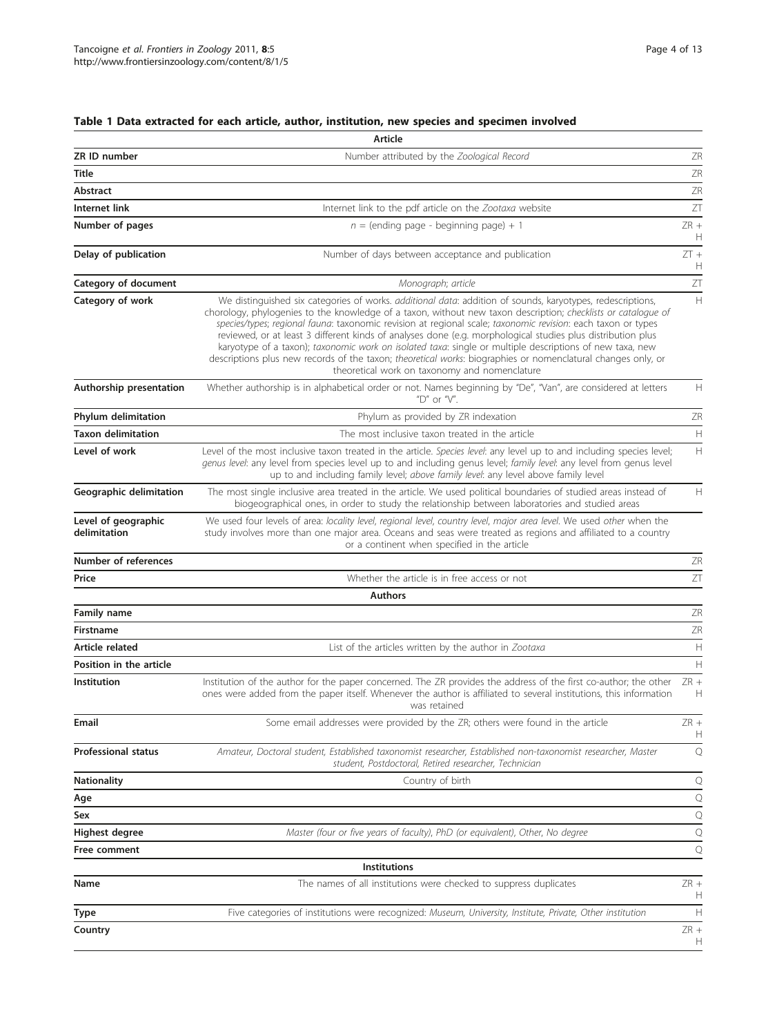# <span id="page-3-0"></span>Table 1 Data extracted for each article, author, institution, new species and specimen involved

|                                     | Article                                                                                                                                                                                                                                                                                                                                                                                                                                                                                                                                                                                                                                                                                                                                         |                    |
|-------------------------------------|-------------------------------------------------------------------------------------------------------------------------------------------------------------------------------------------------------------------------------------------------------------------------------------------------------------------------------------------------------------------------------------------------------------------------------------------------------------------------------------------------------------------------------------------------------------------------------------------------------------------------------------------------------------------------------------------------------------------------------------------------|--------------------|
| ZR ID number                        | Number attributed by the Zoological Record                                                                                                                                                                                                                                                                                                                                                                                                                                                                                                                                                                                                                                                                                                      | ΖF                 |
| <b>Title</b>                        |                                                                                                                                                                                                                                                                                                                                                                                                                                                                                                                                                                                                                                                                                                                                                 | ZF                 |
| Abstract                            |                                                                                                                                                                                                                                                                                                                                                                                                                                                                                                                                                                                                                                                                                                                                                 | ZF                 |
| Internet link                       | Internet link to the pdf article on the Zootaxa website                                                                                                                                                                                                                                                                                                                                                                                                                                                                                                                                                                                                                                                                                         | ZT                 |
| Number of pages                     | $n = (ending page - beginning page) + 1$                                                                                                                                                                                                                                                                                                                                                                                                                                                                                                                                                                                                                                                                                                        | $ZR +$<br>$\vdash$ |
| Delay of publication                | Number of days between acceptance and publication                                                                                                                                                                                                                                                                                                                                                                                                                                                                                                                                                                                                                                                                                               | $2T +$<br>Н        |
| Category of document                | Monograph; article                                                                                                                                                                                                                                                                                                                                                                                                                                                                                                                                                                                                                                                                                                                              | ZT                 |
| Category of work                    | We distinguished six categories of works. <i>additional data</i> : addition of sounds, karyotypes, redescriptions,<br>chorology, phylogenies to the knowledge of a taxon, without new taxon description; checklists or catalogue of<br>species/types; regional fauna: taxonomic revision at regional scale; taxonomic revision: each taxon or types<br>reviewed, or at least 3 different kinds of analyses done (e.g. morphological studies plus distribution plus<br>karyotype of a taxon); taxonomic work on isolated taxa: single or multiple descriptions of new taxa, new<br>descriptions plus new records of the taxon; theoretical works: biographies or nomenclatural changes only, or<br>theoretical work on taxonomy and nomenclature | $\vdash$           |
| Authorship presentation             | Whether authorship is in alphabetical order or not. Names beginning by "De", "Van", are considered at letters<br>"D" or " $V$ ".                                                                                                                                                                                                                                                                                                                                                                                                                                                                                                                                                                                                                | Н                  |
| Phylum delimitation                 | Phylum as provided by ZR indexation                                                                                                                                                                                                                                                                                                                                                                                                                                                                                                                                                                                                                                                                                                             | ZF                 |
| <b>Taxon delimitation</b>           | The most inclusive taxon treated in the article                                                                                                                                                                                                                                                                                                                                                                                                                                                                                                                                                                                                                                                                                                 | $\vdash$           |
| Level of work                       | Level of the most inclusive taxon treated in the article. Species level: any level up to and including species level;<br>genus level: any level from species level up to and including genus level; family level: any level from genus level<br>up to and including family level; above family level: any level above family level                                                                                                                                                                                                                                                                                                                                                                                                              | $\vdash$           |
| Geographic delimitation             | The most single inclusive area treated in the article. We used political boundaries of studied areas instead of<br>biogeographical ones, in order to study the relationship between laboratories and studied areas                                                                                                                                                                                                                                                                                                                                                                                                                                                                                                                              | Н                  |
| Level of geographic<br>delimitation | We used four levels of area: locality level, regional level, country level, major area level. We used other when the<br>study involves more than one major area. Oceans and seas were treated as regions and affiliated to a country<br>or a continent when specified in the article                                                                                                                                                                                                                                                                                                                                                                                                                                                            |                    |
| <b>Number of references</b>         |                                                                                                                                                                                                                                                                                                                                                                                                                                                                                                                                                                                                                                                                                                                                                 | ZF                 |
| Price                               | Whether the article is in free access or not                                                                                                                                                                                                                                                                                                                                                                                                                                                                                                                                                                                                                                                                                                    | ZT                 |
|                                     | <b>Authors</b>                                                                                                                                                                                                                                                                                                                                                                                                                                                                                                                                                                                                                                                                                                                                  |                    |
| <b>Family name</b>                  |                                                                                                                                                                                                                                                                                                                                                                                                                                                                                                                                                                                                                                                                                                                                                 | ΖF                 |
| <b>Firstname</b>                    |                                                                                                                                                                                                                                                                                                                                                                                                                                                                                                                                                                                                                                                                                                                                                 | ZF                 |
| Article related                     | List of the articles written by the author in Zootaxa                                                                                                                                                                                                                                                                                                                                                                                                                                                                                                                                                                                                                                                                                           | $\mathbb{H}$       |
| Position in the article             |                                                                                                                                                                                                                                                                                                                                                                                                                                                                                                                                                                                                                                                                                                                                                 | $\vdash$           |
| Institution                         | Institution of the author for the paper concerned. The ZR provides the address of the first co-author; the other<br>ones were added from the paper itself. Whenever the author is affiliated to several institutions, this information<br>was retained                                                                                                                                                                                                                                                                                                                                                                                                                                                                                          | $ZR +$<br>$\vdash$ |
| Email                               | Some email addresses were provided by the ZR; others were found in the article                                                                                                                                                                                                                                                                                                                                                                                                                                                                                                                                                                                                                                                                  | $ZR +$<br>Н        |
| <b>Professional status</b>          | Amateur, Doctoral student, Established taxonomist researcher, Established non-taxonomist researcher, Master<br>student, Postdoctoral, Retired researcher, Technician                                                                                                                                                                                                                                                                                                                                                                                                                                                                                                                                                                            | C                  |
| <b>Nationality</b>                  | Country of birth                                                                                                                                                                                                                                                                                                                                                                                                                                                                                                                                                                                                                                                                                                                                | C                  |
| Age                                 |                                                                                                                                                                                                                                                                                                                                                                                                                                                                                                                                                                                                                                                                                                                                                 | C                  |
| Sex                                 |                                                                                                                                                                                                                                                                                                                                                                                                                                                                                                                                                                                                                                                                                                                                                 | C                  |
| Highest degree                      | Master (four or five years of faculty), PhD (or equivalent), Other, No degree                                                                                                                                                                                                                                                                                                                                                                                                                                                                                                                                                                                                                                                                   | C                  |
| <b>Free comment</b>                 |                                                                                                                                                                                                                                                                                                                                                                                                                                                                                                                                                                                                                                                                                                                                                 | C                  |
|                                     | Institutions                                                                                                                                                                                                                                                                                                                                                                                                                                                                                                                                                                                                                                                                                                                                    |                    |
| Name                                | The names of all institutions were checked to suppress duplicates                                                                                                                                                                                                                                                                                                                                                                                                                                                                                                                                                                                                                                                                               | $ZR +$<br>H        |
| Type                                | Five categories of institutions were recognized: Museum, University, Institute, Private, Other institution                                                                                                                                                                                                                                                                                                                                                                                                                                                                                                                                                                                                                                      | Н                  |
| Country                             |                                                                                                                                                                                                                                                                                                                                                                                                                                                                                                                                                                                                                                                                                                                                                 | $ZR +$<br>$\vdash$ |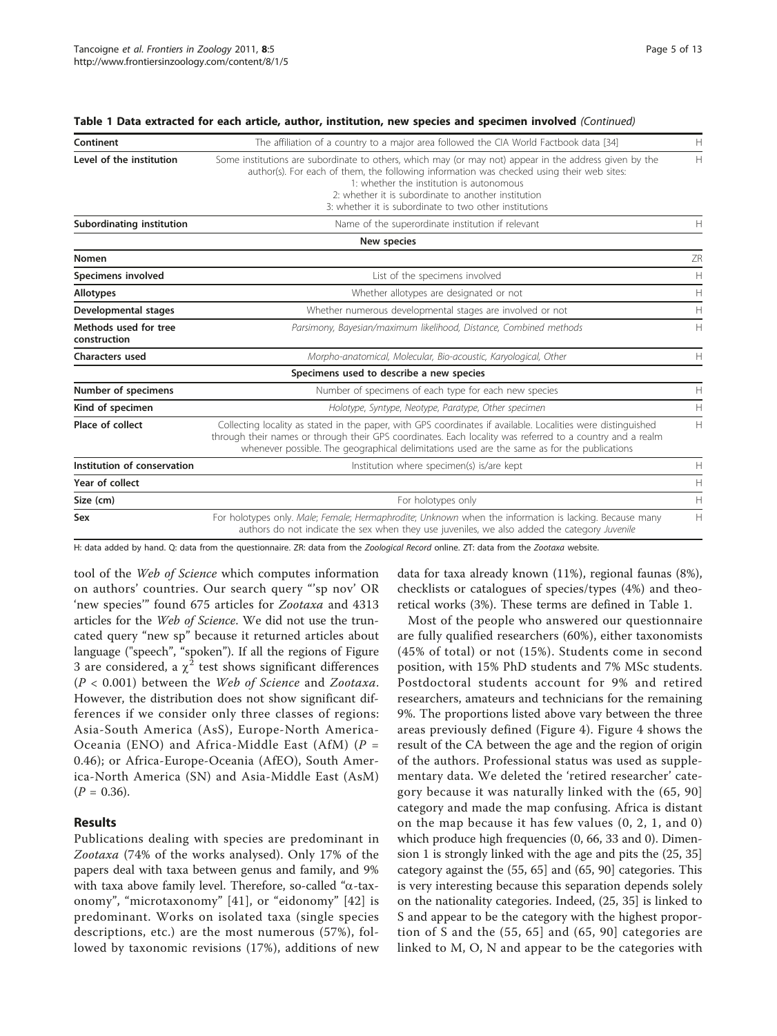| Continent                             | The affiliation of a country to a major area followed the CIA World Factbook data [34]                                                                                                                                                                                                                                                                           | Н  |
|---------------------------------------|------------------------------------------------------------------------------------------------------------------------------------------------------------------------------------------------------------------------------------------------------------------------------------------------------------------------------------------------------------------|----|
| Level of the institution              | Some institutions are subordinate to others, which may (or may not) appear in the address given by the<br>author(s). For each of them, the following information was checked using their web sites:<br>1: whether the institution is autonomous<br>2: whether it is subordinate to another institution<br>3: whether it is subordinate to two other institutions | Н  |
| Subordinating institution             | Name of the superordinate institution if relevant                                                                                                                                                                                                                                                                                                                | Н  |
|                                       | New species                                                                                                                                                                                                                                                                                                                                                      |    |
| Nomen                                 |                                                                                                                                                                                                                                                                                                                                                                  | ZF |
| Specimens involved                    | List of the specimens involved                                                                                                                                                                                                                                                                                                                                   | Н  |
| <b>Allotypes</b>                      | Whether allotypes are designated or not                                                                                                                                                                                                                                                                                                                          | Н  |
| Developmental stages                  | Whether numerous developmental stages are involved or not                                                                                                                                                                                                                                                                                                        | Н  |
| Methods used for tree<br>construction | Parsimony, Bayesian/maximum likelihood, Distance, Combined methods                                                                                                                                                                                                                                                                                               | Н  |
| <b>Characters used</b>                | Morpho-anatomical, Molecular, Bio-acoustic, Karyological, Other                                                                                                                                                                                                                                                                                                  | Н  |
|                                       | Specimens used to describe a new species                                                                                                                                                                                                                                                                                                                         |    |
| Number of specimens                   | Number of specimens of each type for each new species                                                                                                                                                                                                                                                                                                            | Н  |
| Kind of specimen                      | Holotype, Syntype, Neotype, Paratype, Other specimen                                                                                                                                                                                                                                                                                                             | Н  |
| Place of collect                      | Collecting locality as stated in the paper, with GPS coordinates if available. Localities were distinguished<br>through their names or through their GPS coordinates. Each locality was referred to a country and a realm<br>whenever possible. The geographical delimitations used are the same as for the publications                                         | Н  |
| Institution of conservation           | Institution where specimen(s) is/are kept                                                                                                                                                                                                                                                                                                                        | Н  |
| Year of collect                       |                                                                                                                                                                                                                                                                                                                                                                  | Н  |
| Size (cm)                             | For holotypes only                                                                                                                                                                                                                                                                                                                                               | Н  |
| Sex                                   | For holotypes only. Male; Female; Hermaphrodite; Unknown when the information is lacking. Because many<br>authors do not indicate the sex when they use juveniles, we also added the category Juvenile                                                                                                                                                           | Н  |
|                                       |                                                                                                                                                                                                                                                                                                                                                                  |    |

#### Table 1 Data extracted for each article, author, institution, new species and specimen involved (Continued)

H: data added by hand. Q: data from the questionnaire. ZR: data from the Zoological Record online. ZT: data from the Zootaxa website.

tool of the Web of Science which computes information on authors' countries. Our search query "'sp nov' OR 'new species'" found 675 articles for Zootaxa and 4313 articles for the Web of Science. We did not use the truncated query "new sp" because it returned articles about language ("speech", "spoken"). If all the regions of Figure [3](#page-5-0) are considered, a  $\chi^2$  test shows significant differences  $(P < 0.001)$  between the Web of Science and Zootaxa. However, the distribution does not show significant differences if we consider only three classes of regions: Asia-South America (AsS), Europe-North America-Oceania (ENO) and Africa-Middle East (AfM)  $(P =$ 0.46); or Africa-Europe-Oceania (AfEO), South America-North America (SN) and Asia-Middle East (AsM)  $(P = 0.36)$ .

#### Results

Publications dealing with species are predominant in Zootaxa (74% of the works analysed). Only 17% of the papers deal with taxa between genus and family, and 9% with taxa above family level. Therefore, so-called " $\alpha$ -taxonomy", "microtaxonomy" [[41](#page-11-0)], or "eidonomy" [[42](#page-11-0)] is predominant. Works on isolated taxa (single species descriptions, etc.) are the most numerous (57%), followed by taxonomic revisions (17%), additions of new

data for taxa already known (11%), regional faunas (8%), checklists or catalogues of species/types (4%) and theoretical works (3%). These terms are defined in Table [1.](#page-3-0)

Most of the people who answered our questionnaire are fully qualified researchers (60%), either taxonomists (45% of total) or not (15%). Students come in second position, with 15% PhD students and 7% MSc students. Postdoctoral students account for 9% and retired researchers, amateurs and technicians for the remaining 9%. The proportions listed above vary between the three areas previously defined (Figure [4](#page-5-0)). Figure [4](#page-5-0) shows the result of the CA between the age and the region of origin of the authors. Professional status was used as supplementary data. We deleted the 'retired researcher' category because it was naturally linked with the (65, 90] category and made the map confusing. Africa is distant on the map because it has few values (0, 2, 1, and 0) which produce high frequencies (0, 66, 33 and 0). Dimension 1 is strongly linked with the age and pits the (25, 35] category against the (55, 65] and (65, 90] categories. This is very interesting because this separation depends solely on the nationality categories. Indeed, (25, 35] is linked to S and appear to be the category with the highest proportion of S and the (55, 65] and (65, 90] categories are linked to M, O, N and appear to be the categories with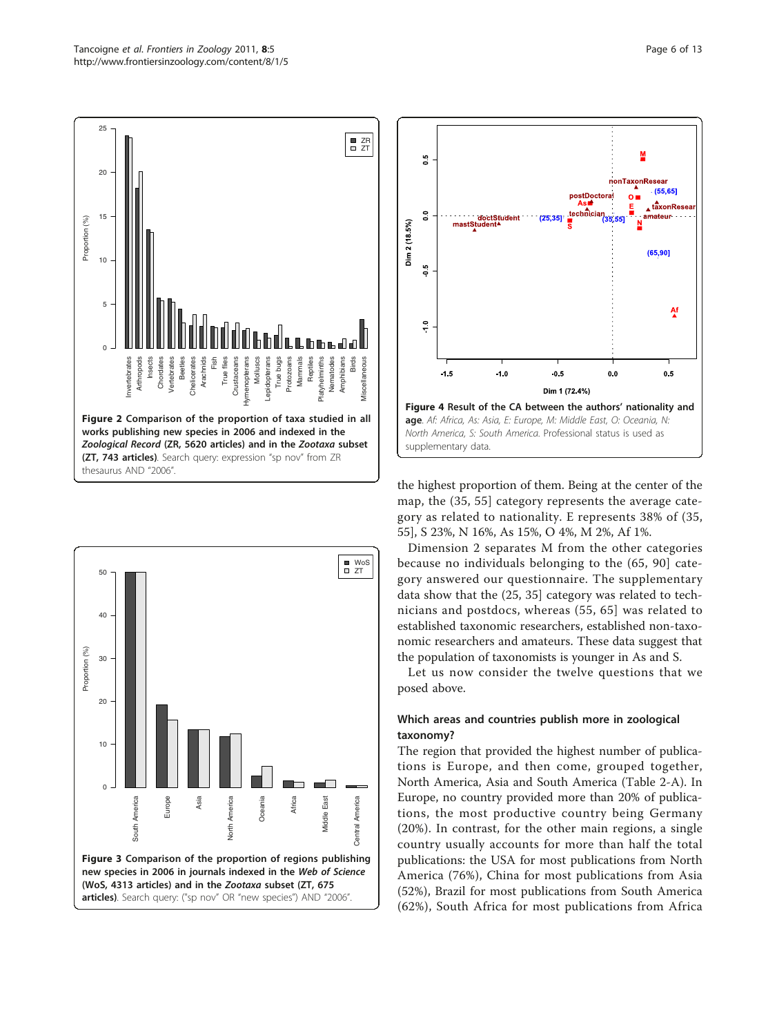<span id="page-5-0"></span>





the highest proportion of them. Being at the center of the map, the (35, 55] category represents the average category as related to nationality. E represents 38% of (35, 55], S 23%, N 16%, As 15%, O 4%, M 2%, Af 1%.

Dimension 2 separates M from the other categories because no individuals belonging to the (65, 90] category answered our questionnaire. The supplementary data show that the (25, 35] category was related to technicians and postdocs, whereas (55, 65] was related to established taxonomic researchers, established non-taxonomic researchers and amateurs. These data suggest that the population of taxonomists is younger in As and S.

Let us now consider the twelve questions that we posed above.

# Which areas and countries publish more in zoological taxonomy?

The region that provided the highest number of publications is Europe, and then come, grouped together, North America, Asia and South America (Table [2-A](#page-6-0)). In Europe, no country provided more than 20% of publications, the most productive country being Germany (20%). In contrast, for the other main regions, a single country usually accounts for more than half the total publications: the USA for most publications from North America (76%), China for most publications from Asia (52%), Brazil for most publications from South America (62%), South Africa for most publications from Africa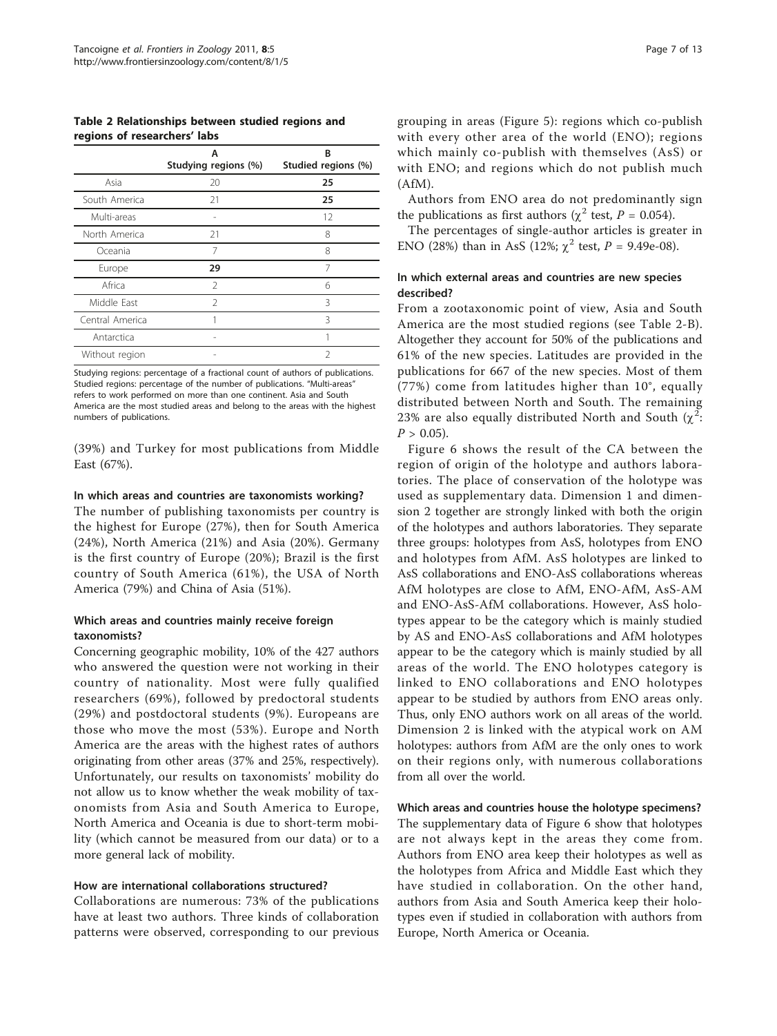<span id="page-6-0"></span>Table 2 Relationships between studied regions and regions of researchers' labs

|                 | А<br>Studying regions (%) | B<br>Studied regions (%) |
|-----------------|---------------------------|--------------------------|
| Asia            | 20                        | 25                       |
| South America   | 21                        | 25                       |
| Multi-areas     |                           | 12                       |
| North America   | 21                        | 8                        |
| Oceania         | 7                         | 8                        |
| Europe          | 29                        | 7                        |
| Africa          | $\mathfrak{D}$            | 6                        |
| Middle East     | $\mathcal{P}$             | 3                        |
| Central America |                           | 3                        |
| Antarctica      |                           |                          |
| Without region  |                           | $\mathcal{P}$            |

Studying regions: percentage of a fractional count of authors of publications. Studied regions: percentage of the number of publications. "Multi-areas" refers to work performed on more than one continent. Asia and South America are the most studied areas and belong to the areas with the highest numbers of publications.

(39%) and Turkey for most publications from Middle East (67%).

#### In which areas and countries are taxonomists working?

The number of publishing taxonomists per country is the highest for Europe (27%), then for South America (24%), North America (21%) and Asia (20%). Germany is the first country of Europe (20%); Brazil is the first country of South America (61%), the USA of North America (79%) and China of Asia (51%).

# Which areas and countries mainly receive foreign taxonomists?

Concerning geographic mobility, 10% of the 427 authors who answered the question were not working in their country of nationality. Most were fully qualified researchers (69%), followed by predoctoral students (29%) and postdoctoral students (9%). Europeans are those who move the most (53%). Europe and North America are the areas with the highest rates of authors originating from other areas (37% and 25%, respectively). Unfortunately, our results on taxonomists' mobility do not allow us to know whether the weak mobility of taxonomists from Asia and South America to Europe, North America and Oceania is due to short-term mobility (which cannot be measured from our data) or to a more general lack of mobility.

#### How are international collaborations structured?

Collaborations are numerous: 73% of the publications have at least two authors. Three kinds of collaboration patterns were observed, corresponding to our previous grouping in areas (Figure [5\)](#page-7-0): regions which co-publish with every other area of the world (ENO); regions which mainly co-publish with themselves (AsS) or with ENO; and regions which do not publish much (AfM).

Authors from ENO area do not predominantly sign the publications as first authors ( $\chi^2$  test,  $P = 0.054$ ).

The percentages of single-author articles is greater in ENO (28%) than in AsS (12%;  $\chi^2$  test,  $P = 9.49e-08$ ).

# In which external areas and countries are new species described?

From a zootaxonomic point of view, Asia and South America are the most studied regions (see Table 2-B). Altogether they account for 50% of the publications and 61% of the new species. Latitudes are provided in the publications for 667 of the new species. Most of them (77%) come from latitudes higher than 10°, equally distributed between North and South. The remaining 23% are also equally distributed North and South ( $\chi^2$ )  $P > 0.05$ ).

Figure [6](#page-8-0) shows the result of the CA between the region of origin of the holotype and authors laboratories. The place of conservation of the holotype was used as supplementary data. Dimension 1 and dimension 2 together are strongly linked with both the origin of the holotypes and authors laboratories. They separate three groups: holotypes from AsS, holotypes from ENO and holotypes from AfM. AsS holotypes are linked to AsS collaborations and ENO-AsS collaborations whereas AfM holotypes are close to AfM, ENO-AfM, AsS-AM and ENO-AsS-AfM collaborations. However, AsS holotypes appear to be the category which is mainly studied by AS and ENO-AsS collaborations and AfM holotypes appear to be the category which is mainly studied by all areas of the world. The ENO holotypes category is linked to ENO collaborations and ENO holotypes appear to be studied by authors from ENO areas only. Thus, only ENO authors work on all areas of the world. Dimension 2 is linked with the atypical work on AM holotypes: authors from AfM are the only ones to work on their regions only, with numerous collaborations from all over the world.

# Which areas and countries house the holotype specimens? The supplementary data of Figure [6](#page-8-0) show that holotypes are not always kept in the areas they come from. Authors from ENO area keep their holotypes as well as the holotypes from Africa and Middle East which they have studied in collaboration. On the other hand, authors from Asia and South America keep their holotypes even if studied in collaboration with authors from

Europe, North America or Oceania.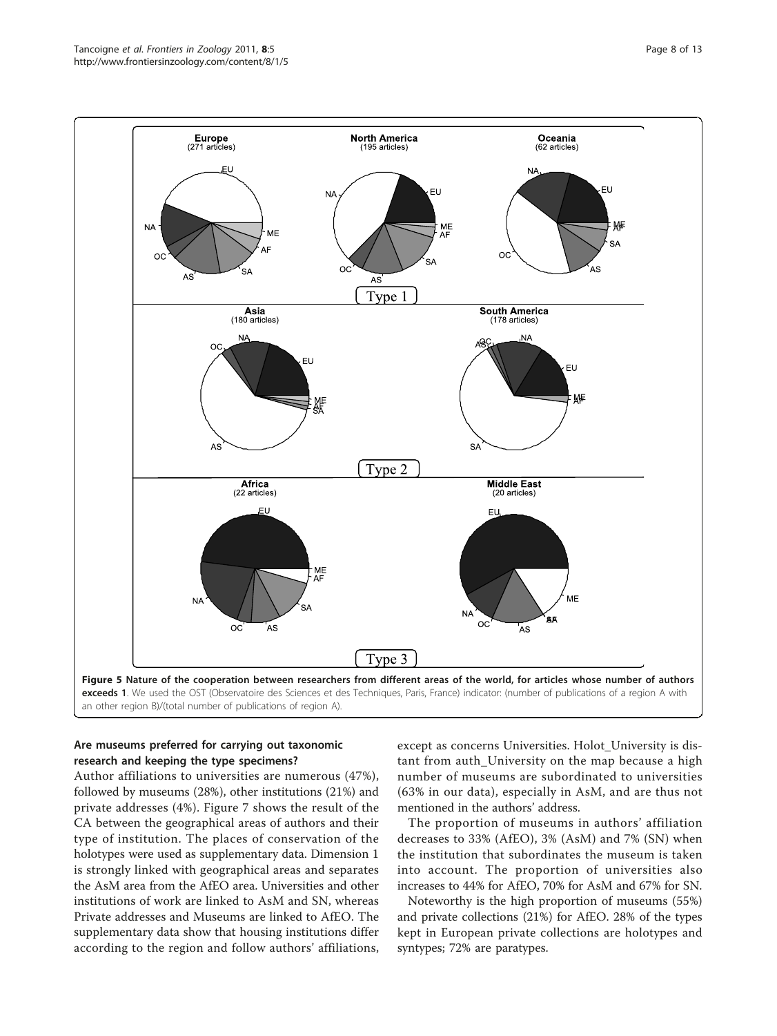<span id="page-7-0"></span>

# Are museums preferred for carrying out taxonomic research and keeping the type specimens?

Author affiliations to universities are numerous (47%), followed by museums (28%), other institutions (21%) and private addresses (4%). Figure [7](#page-8-0) shows the result of the CA between the geographical areas of authors and their type of institution. The places of conservation of the holotypes were used as supplementary data. Dimension 1 is strongly linked with geographical areas and separates the AsM area from the AfEO area. Universities and other institutions of work are linked to AsM and SN, whereas Private addresses and Museums are linked to AfEO. The supplementary data show that housing institutions differ according to the region and follow authors' affiliations,

except as concerns Universities. Holot\_University is distant from auth\_University on the map because a high number of museums are subordinated to universities (63% in our data), especially in AsM, and are thus not mentioned in the authors' address.

The proportion of museums in authors' affiliation decreases to 33% (AfEO), 3% (AsM) and 7% (SN) when the institution that subordinates the museum is taken into account. The proportion of universities also increases to 44% for AfEO, 70% for AsM and 67% for SN.

Noteworthy is the high proportion of museums (55%) and private collections (21%) for AfEO. 28% of the types kept in European private collections are holotypes and syntypes; 72% are paratypes.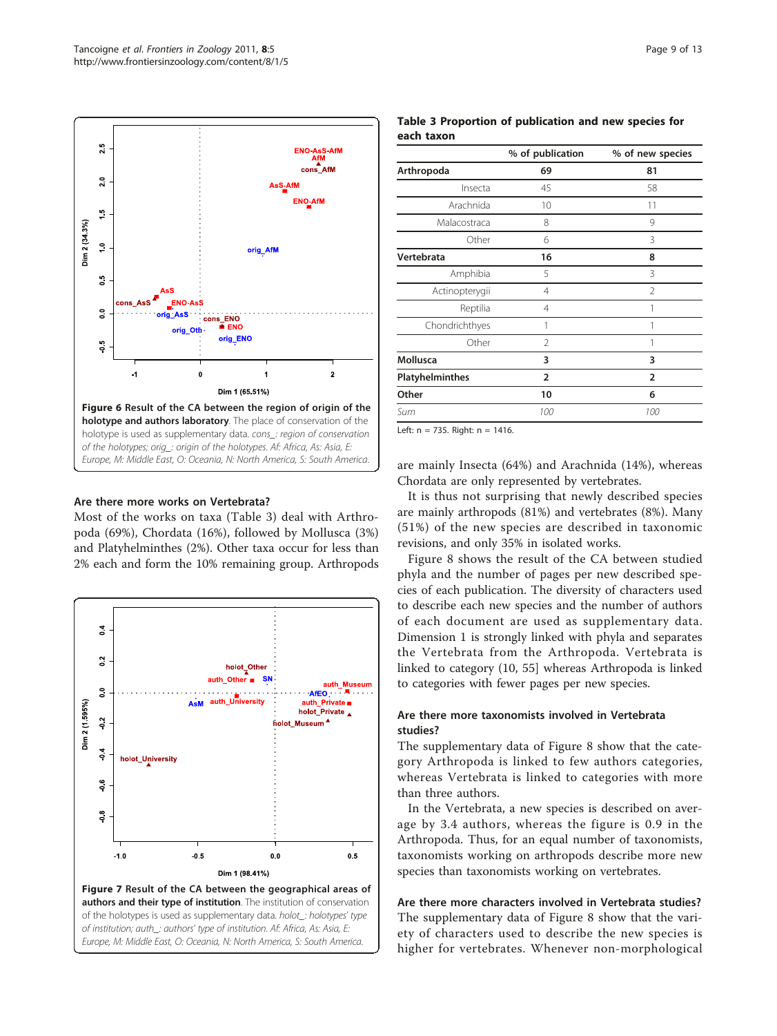<span id="page-8-0"></span>

#### Are there more works on Vertebrata?

Most of the works on taxa (Table 3) deal with Arthropoda (69%), Chordata (16%), followed by Mollusca (3%) and Platyhelminthes (2%). Other taxa occur for less than 2% each and form the 10% remaining group. Arthropods



Table 3 Proportion of publication and new species for each taxon

|                 | % of publication | % of new species |
|-----------------|------------------|------------------|
| Arthropoda      | 69               | 81               |
| Insecta         | 45               | 58               |
| Arachnida       | 10               | 11               |
| Malacostraca    | 8                | 9                |
| Other           | 6                | 3                |
| Vertebrata      | 16               | 8                |
| Amphibia        | 5                | 3                |
| Actinopterygii  | 4                | $\overline{2}$   |
| Reptilia        | 4                |                  |
| Chondrichthyes  | 1                | 1                |
| Other           | $\overline{2}$   | 1                |
| Mollusca        | 3                | 3                |
| Platyhelminthes | 2                | 2                |
| Other           | 10               | 6                |
| Sum             | 100              | 100              |
|                 |                  |                  |

Left: n = 735. Right: n = 1416.

are mainly Insecta (64%) and Arachnida (14%), whereas Chordata are only represented by vertebrates.

It is thus not surprising that newly described species are mainly arthropods (81%) and vertebrates (8%). Many (51%) of the new species are described in taxonomic revisions, and only 35% in isolated works.

Figure [8](#page-9-0) shows the result of the CA between studied phyla and the number of pages per new described species of each publication. The diversity of characters used to describe each new species and the number of authors of each document are used as supplementary data. Dimension 1 is strongly linked with phyla and separates the Vertebrata from the Arthropoda. Vertebrata is linked to category (10, 55] whereas Arthropoda is linked to categories with fewer pages per new species.

# Are there more taxonomists involved in Vertebrata studies?

The supplementary data of Figure [8](#page-9-0) show that the category Arthropoda is linked to few authors categories, whereas Vertebrata is linked to categories with more than three authors.

In the Vertebrata, a new species is described on average by 3.4 authors, whereas the figure is 0.9 in the Arthropoda. Thus, for an equal number of taxonomists, taxonomists working on arthropods describe more new species than taxonomists working on vertebrates.

Are there more characters involved in Vertebrata studies? The supplementary data of Figure [8](#page-9-0) show that the variety of characters used to describe the new species is higher for vertebrates. Whenever non-morphological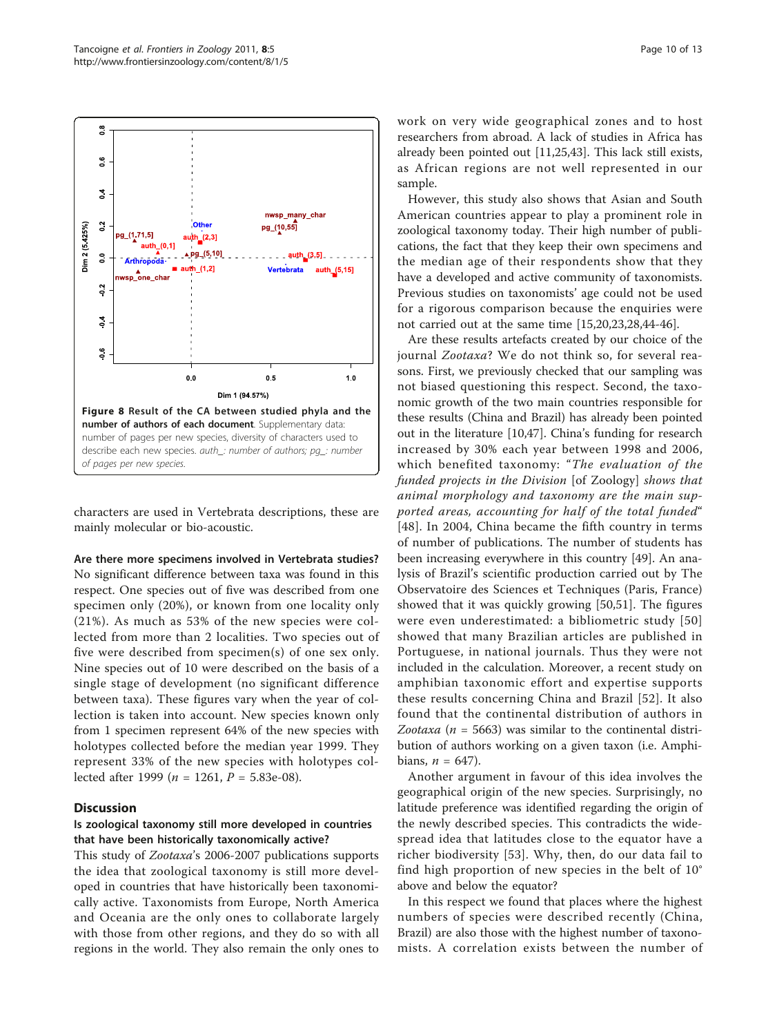<span id="page-9-0"></span>

characters are used in Vertebrata descriptions, these are mainly molecular or bio-acoustic.

Are there more specimens involved in Vertebrata studies? No significant difference between taxa was found in this respect. One species out of five was described from one specimen only (20%), or known from one locality only (21%). As much as 53% of the new species were collected from more than 2 localities. Two species out of five were described from specimen(s) of one sex only. Nine species out of 10 were described on the basis of a single stage of development (no significant difference between taxa). These figures vary when the year of collection is taken into account. New species known only from 1 specimen represent 64% of the new species with holotypes collected before the median year 1999. They represent 33% of the new species with holotypes collected after 1999 ( $n = 1261$ ,  $P = 5.83e-08$ ).

# **Discussion**

#### Is zoological taxonomy still more developed in countries that have been historically taxonomically active?

This study of Zootaxa's 2006-2007 publications supports the idea that zoological taxonomy is still more developed in countries that have historically been taxonomically active. Taxonomists from Europe, North America and Oceania are the only ones to collaborate largely with those from other regions, and they do so with all regions in the world. They also remain the only ones to work on very wide geographical zones and to host researchers from abroad. A lack of studies in Africa has already been pointed out [\[11,25,43\]](#page-11-0). This lack still exists, as African regions are not well represented in our sample.

However, this study also shows that Asian and South American countries appear to play a prominent role in zoological taxonomy today. Their high number of publications, the fact that they keep their own specimens and the median age of their respondents show that they have a developed and active community of taxonomists. Previous studies on taxonomists' age could not be used for a rigorous comparison because the enquiries were not carried out at the same time [\[15,20,23,28,44-46\]](#page-11-0).

Are these results artefacts created by our choice of the journal Zootaxa? We do not think so, for several reasons. First, we previously checked that our sampling was not biased questioning this respect. Second, the taxonomic growth of the two main countries responsible for these results (China and Brazil) has already been pointed out in the literature [\[10,47\]](#page-11-0). China's funding for research increased by 30% each year between 1998 and 2006, which benefited taxonomy: "The evaluation of the funded projects in the Division [of Zoology] shows that animal morphology and taxonomy are the main supported areas, accounting for half of the total funded" [[48](#page-11-0)]. In 2004, China became the fifth country in terms of number of publications. The number of students has been increasing everywhere in this country [\[49\]](#page-12-0). An analysis of Brazil's scientific production carried out by The Observatoire des Sciences et Techniques (Paris, France) showed that it was quickly growing [[50,51](#page-12-0)]. The figures were even underestimated: a bibliometric study [[50](#page-12-0)] showed that many Brazilian articles are published in Portuguese, in national journals. Thus they were not included in the calculation. Moreover, a recent study on amphibian taxonomic effort and expertise supports these results concerning China and Brazil [\[52\]](#page-12-0). It also found that the continental distribution of authors in Zootaxa ( $n = 5663$ ) was similar to the continental distribution of authors working on a given taxon (i.e. Amphibians,  $n = 647$ ).

Another argument in favour of this idea involves the geographical origin of the new species. Surprisingly, no latitude preference was identified regarding the origin of the newly described species. This contradicts the widespread idea that latitudes close to the equator have a richer biodiversity [\[53\]](#page-12-0). Why, then, do our data fail to find high proportion of new species in the belt of 10° above and below the equator?

In this respect we found that places where the highest numbers of species were described recently (China, Brazil) are also those with the highest number of taxonomists. A correlation exists between the number of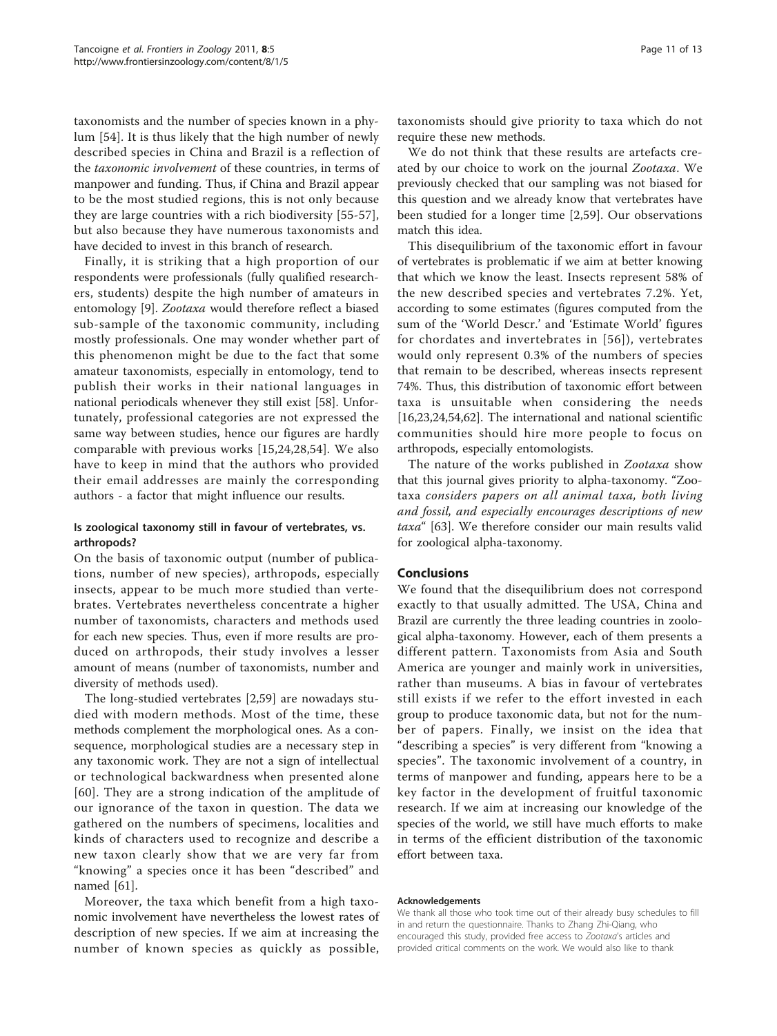taxonomists and the number of species known in a phylum [\[54](#page-12-0)]. It is thus likely that the high number of newly described species in China and Brazil is a reflection of the taxonomic involvement of these countries, in terms of manpower and funding. Thus, if China and Brazil appear to be the most studied regions, this is not only because they are large countries with a rich biodiversity [\[55](#page-12-0)-[57](#page-12-0)], but also because they have numerous taxonomists and have decided to invest in this branch of research.

Finally, it is striking that a high proportion of our respondents were professionals (fully qualified researchers, students) despite the high number of amateurs in entomology [[9\]](#page-11-0). Zootaxa would therefore reflect a biased sub-sample of the taxonomic community, including mostly professionals. One may wonder whether part of this phenomenon might be due to the fact that some amateur taxonomists, especially in entomology, tend to publish their works in their national languages in national periodicals whenever they still exist [[58](#page-12-0)]. Unfortunately, professional categories are not expressed the same way between studies, hence our figures are hardly comparable with previous works [[15,24,28](#page-11-0)[,54\]](#page-12-0). We also have to keep in mind that the authors who provided their email addresses are mainly the corresponding authors - a factor that might influence our results.

# Is zoological taxonomy still in favour of vertebrates, vs. arthropods?

On the basis of taxonomic output (number of publications, number of new species), arthropods, especially insects, appear to be much more studied than vertebrates. Vertebrates nevertheless concentrate a higher number of taxonomists, characters and methods used for each new species. Thus, even if more results are produced on arthropods, their study involves a lesser amount of means (number of taxonomists, number and diversity of methods used).

The long-studied vertebrates [\[2](#page-11-0),[59\]](#page-12-0) are nowadays studied with modern methods. Most of the time, these methods complement the morphological ones. As a consequence, morphological studies are a necessary step in any taxonomic work. They are not a sign of intellectual or technological backwardness when presented alone [[60](#page-12-0)]. They are a strong indication of the amplitude of our ignorance of the taxon in question. The data we gathered on the numbers of specimens, localities and kinds of characters used to recognize and describe a new taxon clearly show that we are very far from "knowing" a species once it has been "described" and named [[61](#page-12-0)].

Moreover, the taxa which benefit from a high taxonomic involvement have nevertheless the lowest rates of description of new species. If we aim at increasing the number of known species as quickly as possible,

taxonomists should give priority to taxa which do not require these new methods.

We do not think that these results are artefacts created by our choice to work on the journal Zootaxa. We previously checked that our sampling was not biased for this question and we already know that vertebrates have been studied for a longer time [[2](#page-11-0)[,59](#page-12-0)]. Our observations match this idea.

This disequilibrium of the taxonomic effort in favour of vertebrates is problematic if we aim at better knowing that which we know the least. Insects represent 58% of the new described species and vertebrates 7.2%. Yet, according to some estimates (figures computed from the sum of the 'World Descr.' and 'Estimate World' figures for chordates and invertebrates in [[56](#page-12-0)]), vertebrates would only represent 0.3% of the numbers of species that remain to be described, whereas insects represent 74%. Thus, this distribution of taxonomic effort between taxa is unsuitable when considering the needs [[16,23,24](#page-11-0),[54,62](#page-12-0)]. The international and national scientific communities should hire more people to focus on arthropods, especially entomologists.

The nature of the works published in Zootaxa show that this journal gives priority to alpha-taxonomy. "Zootaxa considers papers on all animal taxa, both living and fossil, and especially encourages descriptions of new taxa" [\[63](#page-12-0)]. We therefore consider our main results valid for zoological alpha-taxonomy.

# Conclusions

We found that the disequilibrium does not correspond exactly to that usually admitted. The USA, China and Brazil are currently the three leading countries in zoological alpha-taxonomy. However, each of them presents a different pattern. Taxonomists from Asia and South America are younger and mainly work in universities, rather than museums. A bias in favour of vertebrates still exists if we refer to the effort invested in each group to produce taxonomic data, but not for the number of papers. Finally, we insist on the idea that "describing a species" is very different from "knowing a species". The taxonomic involvement of a country, in terms of manpower and funding, appears here to be a key factor in the development of fruitful taxonomic research. If we aim at increasing our knowledge of the species of the world, we still have much efforts to make in terms of the efficient distribution of the taxonomic effort between taxa.

#### Acknowledgements

We thank all those who took time out of their already busy schedules to fill in and return the questionnaire. Thanks to Zhang Zhi-Qiang, who encouraged this study, provided free access to Zootaxa's articles and provided critical comments on the work. We would also like to thank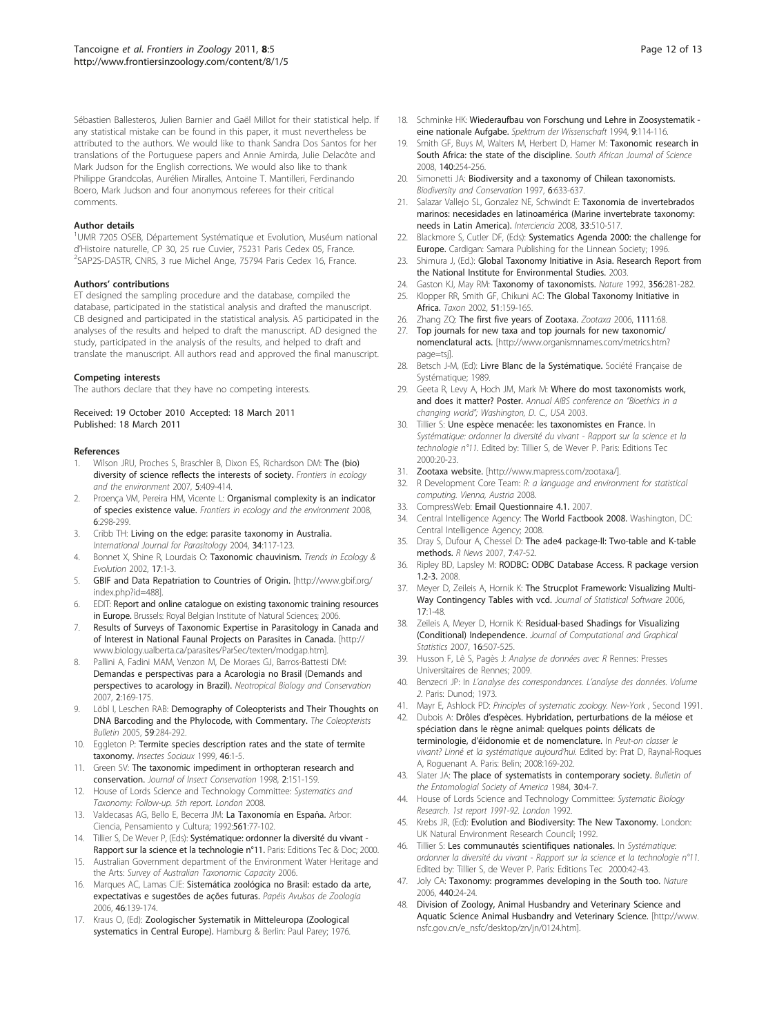<span id="page-11-0"></span>Sébastien Ballesteros, Julien Barnier and Gaël Millot for their statistical help. If any statistical mistake can be found in this paper, it must nevertheless be attributed to the authors. We would like to thank Sandra Dos Santos for her translations of the Portuguese papers and Annie Amirda, Julie Delacôte and Mark Judson for the English corrections. We would also like to thank Philippe Grandcolas, Aurélien Miralles, Antoine T. Mantilleri, Ferdinando Boero, Mark Judson and four anonymous referees for their critical comments.

#### Author details

1 UMR 7205 OSEB, Département Systématique et Evolution, Muséum national d'Histoire naturelle, CP 30, 25 rue Cuvier, 75231 Paris Cedex 05, France. <sup>2</sup>SAP2S-DASTR, CNRS, 3 rue Michel Ange, 75794 Paris Cedex 16, France.

#### Authors' contributions

ET designed the sampling procedure and the database, compiled the database, participated in the statistical analysis and drafted the manuscript. CB designed and participated in the statistical analysis. AS participated in the analyses of the results and helped to draft the manuscript. AD designed the study, participated in the analysis of the results, and helped to draft and translate the manuscript. All authors read and approved the final manuscript.

#### Competing interests

The authors declare that they have no competing interests.

Received: 19 October 2010 Accepted: 18 March 2011 Published: 18 March 2011

#### References

- 1. Wilson JRU, Proches S, Braschler B, Dixon ES, Richardson DM: The (bio) diversity of science reflects the interests of society. Frontiers in ecology and the environment 2007, 5:409-414.
- 2. Proença VM, Pereira HM, Vicente L: Organismal complexity is an indicator of species existence value. Frontiers in ecology and the environment 2008, 6:298-299.
- 3. Cribb TH: [Living on the edge: parasite taxonomy in Australia.](http://www.ncbi.nlm.nih.gov/pubmed/15037099?dopt=Abstract) International Journal for Parasitology 2004, 34:117-123.
- 4. Bonnet X, Shine R, Lourdais O: Taxonomic chauvinism. Trends in Ecology & Evolution 2002, 17:1-3.
- 5. GBIF and Data Repatriation to Countries of Origin. [[http://www.gbif.org/](http://www.gbif.org/index.php?id=488) [index.php?id=488](http://www.gbif.org/index.php?id=488)].
- 6. EDIT: Report and online catalogue on existing taxonomic training resources in Europe. Brussels: Royal Belgian Institute of Natural Sciences; 2006.
- 7. Results of Surveys of Taxonomic Expertise in Parasitology in Canada and of Interest in National Faunal Projects on Parasites in Canada. [[http://](http://www.biology.ualberta.ca/parasites/ParSec/texten/modgap.htm) [www.biology.ualberta.ca/parasites/ParSec/texten/modgap.htm\]](http://www.biology.ualberta.ca/parasites/ParSec/texten/modgap.htm).
- 8. Pallini A, Fadini MAM, Venzon M, De Moraes GJ, Barros-Battesti DM: Demandas e perspectivas para a Acarologia no Brasil (Demands and perspectives to acarology in Brazil). Neotropical Biology and Conservation 2007, 2:169-175.
- 9. Löbl I, Leschen RAB: Demography of Coleopterists and Their Thoughts on DNA Barcoding and the Phylocode, with Commentary. The Coleopterists Bulletin 2005, 59:284-292.
- 10. Eggleton P: Termite species description rates and the state of termite taxonomy. Insectes Sociaux 1999, 46:1-5.
- 11. Green SV: The taxonomic impediment in orthopteran research and conservation. Journal of Insect Conservation 1998, 2:151-159.
- 12. House of Lords Science and Technology Committee: Systematics and Taxonomy: Follow-up. 5th report. London 2008.
- 13. Valdecasas AG, Bello E, Becerra JM: La Taxonomía en España. Arbor: Ciencia, Pensamiento y Cultura; 1992:561:77-102.
- 14. Tillier S, De Wever P, (Eds): Systématique: ordonner la diversité du vivant -Rapport sur la science et la technologie n°11. Paris: Editions Tec & Doc; 2000.
- 15. Australian Government department of the Environment Water Heritage and the Arts: Survey of Australian Taxonomic Capacity 2006.
- 16. Marques AC, Lamas CJE: Sistemática zoológica no Brasil: estado da arte, expectativas e sugestões de ações futuras. Papéis Avulsos de Zoologia 2006, 46:139-174.
- 17. Kraus O, (Ed): Zoologischer Systematik in Mitteleuropa (Zoological systematics in Central Europe). Hamburg & Berlin: Paul Parey; 1976.
- 18. Schminke HK: Wiederaufbau von Forschung und Lehre in Zoosystematik eine nationale Aufgabe. Spektrum der Wissenschaft 1994, 9:114-116.
- 19. Smith GE, Buys M, Walters M, Herbert D, Hamer M: Taxonomic research in South Africa: the state of the discipline. South African Journal of Science 2008, 140:254-256.
- 20. Simonetti JA: Biodiversity and a taxonomy of Chilean taxonomists. Biodiversity and Conservation 1997, 6:633-637.
- 21. Salazar Vallejo SL, Gonzalez NE, Schwindt E: Taxonomia de invertebrados marinos: necesidades en latinoamérica (Marine invertebrate taxonomy: needs in Latin America). Interciencia 2008, 33:510-517.
- 22. Blackmore S, Cutler DF, (Eds): Systematics Agenda 2000: the challenge for Europe. Cardigan: Samara Publishing for the Linnean Society; 1996.
- 23. Shimura J, (Ed.): [Global Taxonomy Initiative in Asia. Research Report from](http://www.ncbi.nlm.nih.gov/pubmed/12584651?dopt=Abstract) [the National Institute for Environmental Studies.](http://www.ncbi.nlm.nih.gov/pubmed/12584651?dopt=Abstract) 2003.
- 24. Gaston KJ, May RM: Taxonomy of taxonomists. Nature 1992, 356:281-282.
- 25. Klopper RR, Smith GF, Chikuni AC: The Global Taxonomy Initiative in Africa. Taxon 2002, 51:159-165.
- 26. Zhang ZQ: The first five years of Zootaxa. Zootaxa 2006, 1111:68.
- 27. Top journals for new taxa and top journals for new taxonomic/ nomenclatural acts. [\[http://www.organismnames.com/metrics.htm?](http://www.organismnames.com/metrics.htm?page=tsj) [page=tsj](http://www.organismnames.com/metrics.htm?page=tsj)].
- 28. Betsch J-M, (Ed): Livre Blanc de la Systématique. Société Française de Systématique: 1989.
- 29. Geeta R, Levy A, Hoch JM, Mark M: Where do most taxonomists work, and does it matter? Poster. Annual AIBS conference on "Bioethics in a changing world"; Washington, D. C., USA 2003.
- 30. Tillier S: Une espèce menacée: les taxonomistes en France. In Systématique: ordonner la diversité du vivant - Rapport sur la science et la technologie n°11. Edited by: Tillier S, de Wever P. Paris: Editions Tec 2000:20-23.
- 31. Zootaxa website. [[http://www.mapress.com/zootaxa/\]](http://www.mapress.com/zootaxa/).
- 32. R Development Core Team: R: a language and environment for statistical computing. Vienna, Austria 2008.
- 33. CompressWeb: Email Questionnaire 4.1. 2007.
- 34. Central Intelligence Agency: The World Factbook 2008. Washington, DC: Central Intelligence Agency; 2008.
- 35. Dray S, Dufour A, Chessel D: The ade4 package-II: Two-table and K-table methods. R News 2007, 7:47-52.
- 36. Ripley BD, Lapsley M: RODBC: ODBC Database Access. R package version 1.2-3. 2008.
- 37. Meyer D, Zeileis A, Hornik K: The Strucplot Framework: Visualizing Multi-Way Contingency Tables with vcd. Journal of Statistical Software 2006, 17:1-48.
- 38. Zeileis A, Meyer D, Hornik K: Residual-based Shadings for Visualizing (Conditional) Independence. Journal of Computational and Graphical Statistics 2007, 16:507-525.
- 39. Husson F, Lê S, Pagès J: Analyse de données avec R Rennes: Presses Universitaires de Rennes; 2009.
- 40. Benzecri JP: In L'analyse des correspondances. L'analyse des données. Volume 2. Paris: Dunod; 1973.
- 41. Mayr E, Ashlock PD: Principles of systematic zoology. New-York , Second 1991.
- 42. Dubois A: Drôles d'espèces. Hybridation, perturbations de la méiose et spéciation dans le règne animal: quelques points délicats de terminologie, d'éidonomie et de nomenclature. In Peut-on classer le vivant? Linné et la systématique aujourd'hui. Edited by: Prat D, Raynal-Roques A, Roguenant A. Paris: Belin; 2008:169-202.
- 43. Slater JA: The place of systematists in contemporary society. Bulletin of the Entomologial Society of America 1984, 30:4-7.
- 44. House of Lords Science and Technology Committee: Systematic Biology Research. 1st report 1991-92. London 1992.
- 45. Krebs JR, (Ed): Evolution and Biodiversity: The New Taxonomy. London: UK Natural Environment Research Council; 1992.
- 46. Tillier S: Les communautés scientifiques nationales. In Systématique: ordonner la diversité du vivant - Rapport sur la science et la technologie n°11. Edited by: Tillier S, de Wever P. Paris: Editions Tec 2000:42-43.
- 47. Joly CA: [Taxonomy: programmes developing in the South too.](http://www.ncbi.nlm.nih.gov/pubmed/16511467?dopt=Abstract) Nature 2006, 440:24-24.
- Division of Zoology, Animal Husbandry and Veterinary Science and Aquatic Science Animal Husbandry and Veterinary Science. [\[http://www.](http://www.nsfc.gov.cn/e_nsfc/desktop/zn/jn/0124.htm) [nsfc.gov.cn/e\\_nsfc/desktop/zn/jn/0124.htm](http://www.nsfc.gov.cn/e_nsfc/desktop/zn/jn/0124.htm)].